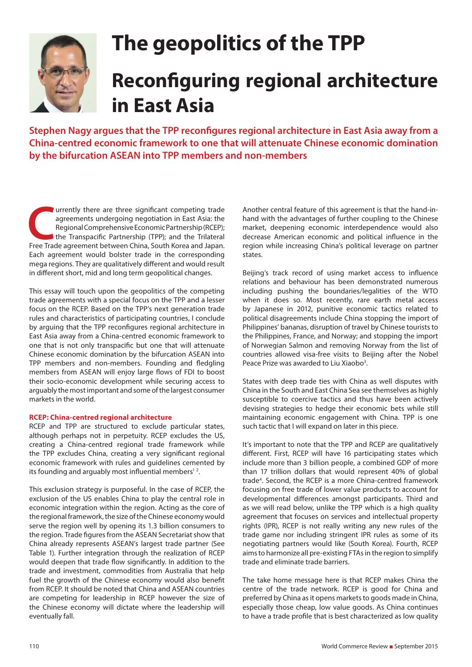

# **The geopolitics of the TPP Reconfiguring regional architecture in East Asia**

**Stephen Nagy argues that the TPP reconfigures regional architecture in East Asia away from a China-centred economic framework to one that will attenuate Chinese economic domination by the bifurcation ASEAN into TPP members and non-members**

**Currently there are three significant competing trade agreements undergoing negotiation in East Asia: the Regional Comprehensive Economic Partnership (RCEP); the Transpacific Partnership (TPP); and the Trilateral Free Tra** agreements undergoing negotiation in East Asia: the Regional Comprehensive Economic Partnership (RCEP); I the Transpacific Partnership (TPP); and the Trilateral Each agreement would bolster trade in the corresponding mega regions. They are qualitatively different and would result in different short, mid and long term geopolitical changes.

This essay will touch upon the geopolitics of the competing trade agreements with a special focus on the TPP and a lesser focus on the RCEP. Based on the TPP's next generation trade rules and characteristics of participating countries, I conclude by arguing that the TPP reconfigures regional architecture in East Asia away from a China-centred economic framework to one that is not only transpacific but one that will attenuate Chinese economic domination by the bifurcation ASEAN into TPP members and non-members. Founding and fledgling members from ASEAN will enjoy large flows of FDI to boost their socio-economic development while securing access to arguably the most important and some of the largest consumer markets in the world.

# **RCEP: China-centred regional architecture**

RCEP and TPP are structured to exclude particular states, although perhaps not in perpetuity. RCEP excludes the US, creating a China-centred regional trade framework while the TPP excludes China, creating a very significant regional economic framework with rules and guidelines cemented by its founding and arguably most influential members<sup>12</sup>.

This exclusion strategy is purposeful. In the case of RCEP, the exclusion of the US enables China to play the central role in economic integration within the region. Acting as the core of the regional framework, the size of the Chinese economy would serve the region well by opening its 1.3 billion consumers to the region. Trade figures from the ASEAN Secretariat show that China already represents ASEAN's largest trade partner (See Table 1). Further integration through the realization of RCEP would deepen that trade flow significantly. In addition to the trade and investment, commodities from Australia that help fuel the growth of the Chinese economy would also benefit from RCEP. It should be noted that China and ASEAN countries are competing for leadership in RCEP however the size of the Chinese economy will dictate where the leadership will eventually fall.

Another central feature of this agreement is that the hand-inhand with the advantages of further coupling to the Chinese market, deepening economic interdependence would also decrease American economic and political influence in the region while increasing China's political leverage on partner states.

Beijing's track record of using market access to influence relations and behaviour has been demonstrated numerous including pushing the boundaries/legalities of the WTO when it does so. Most recently, rare earth metal access by Japanese in 2012, punitive economic tactics related to political disagreements include China stopping the import of Philippines' bananas, disruption of travel by Chinese tourists to the Philippines, France, and Norway; and stopping the import of Norwegian Salmon and removing Norway from the list of countries allowed visa-free visits to Beijing after the Nobel Peace Prize was awarded to Liu Xiaobo<sup>3</sup>.

States with deep trade ties with China as well disputes with China in the South and East China Sea see themselves as highly susceptible to coercive tactics and thus have been actively devising strategies to hedge their economic bets while still maintaining economic engagement with China. TPP is one such tactic that I will expand on later in this piece.

It's important to note that the TPP and RCEP are qualitatively different. First, RCEP will have 16 participating states which include more than 3 billion people, a combined GDP of more than 17 trillion dollars that would represent 40% of global trade<sup>4</sup>. Second, the RCEP is a more China-centred framework focusing on free trade of lower value products to account for developmental differences amongst participants. Third and as we will read below, unlike the TPP which is a high quality agreement that focuses on services and intellectual property rights (IPR), RCEP is not really writing any new rules of the trade game nor including stringent IPR rules as some of its negotiating partners would like (South Korea). Fourth, RCEP aims to harmonize all pre-existing FTAs in the region to simplify trade and eliminate trade barriers.

The take home message here is that RCEP makes China the centre of the trade network. RCEP is good for China and preferred by China as it opens markets to goods made in China, especially those cheap, low value goods. As China continues to have a trade profile that is best characterized as low quality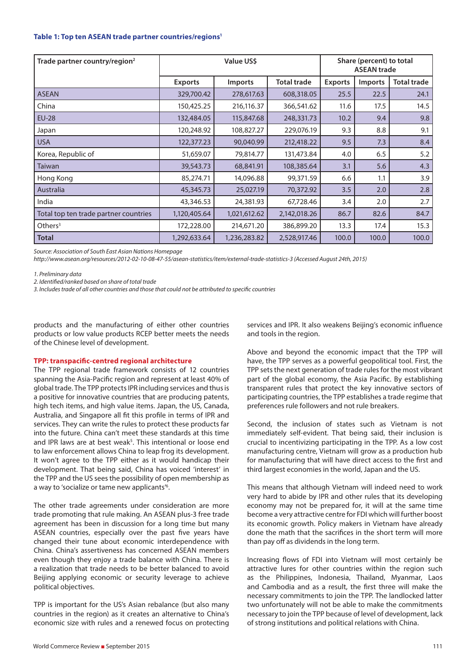# **Table 1: Top ten ASEAN trade partner countries/regions1**

| Trade partner country/region <sup>2</sup> | <b>Value USS</b> |                |                    | Share (percent) to total<br><b>ASEAN trade</b> |                |             |
|-------------------------------------------|------------------|----------------|--------------------|------------------------------------------------|----------------|-------------|
|                                           | <b>Exports</b>   | <b>Imports</b> | <b>Total trade</b> | <b>Exports</b>                                 | <b>Imports</b> | Total trade |
| <b>ASEAN</b>                              | 329,700.42       | 278,617.63     | 608,318.05         | 25.5                                           | 22.5           | 24.1        |
| China                                     | 150,425.25       | 216,116.37     | 366,541.62         | 11.6                                           | 17.5           | 14.5        |
| <b>EU-28</b>                              | 132,484.05       | 115,847.68     | 248,331.73         | 10.2                                           | 9.4            | 9.8         |
| Japan                                     | 120,248.92       | 108,827.27     | 229,076.19         | 9.3                                            | 8.8            | 9.1         |
| <b>USA</b>                                | 122,377.23       | 90,040.99      | 212,418.22         | 9.5                                            | 7.3            | 8.4         |
| Korea, Republic of                        | 51,659.07        | 79,814.77      | 131,473.84         | 4.0                                            | 6.5            | 5.2         |
| <b>Taiwan</b>                             | 39,543.73        | 68,841.91      | 108,385.64         | 3.1                                            | 5.6            | 4.3         |
| Hong Kong                                 | 85,274.71        | 14,096.88      | 99,371.59          | 6.6                                            | 1.1            | 3.9         |
| Australia                                 | 45,345.73        | 25,027.19      | 70,372.92          | 3.5                                            | 2.0            | 2.8         |
| India                                     | 43,346.53        | 24,381.93      | 67,728.46          | 3.4                                            | 2.0            | 2.7         |
| Total top ten trade partner countries     | 1,120,405.64     | 1,021,612.62   | 2,142,018.26       | 86.7                                           | 82.6           | 84.7        |
| Others $3$                                | 172,228.00       | 214,671.20     | 386,899.20         | 13.3                                           | 17.4           | 15.3        |
| <b>Total</b>                              | 1,292,633.64     | 1,236,283.82   | 2,528,917.46       | 100.0                                          | 100.0          | 100.0       |

*Source: Association of South East Asian Nations Homepage*

*http://www.asean.org/resources/2012-02-10-08-47-55/asean-statistics/item/external-trade-statistics-3 (Accessed August 24th, 2015)*

*1. Preliminary data*

*2. Identified/ranked based on share of total trade*

*3. Includes trade of all other countries and those that could not be attributed to specific countries*

products and the manufacturing of either other countries products or low value products RCEP better meets the needs of the Chinese level of development.

# **TPP: transpacific-centred regional architecture**

The TPP regional trade framework consists of 12 countries spanning the Asia-Pacific region and represent at least 40% of global trade. The TPP protects IPR including services and thus is a positive for innovative countries that are producing patents, high tech items, and high value items. Japan, the US, Canada, Australia, and Singapore all fit this profile in terms of IPR and services. They can write the rules to protect these products far into the future. China can't meet these standards at this time and IPR laws are at best weak<sup>5</sup>. This intentional or loose end to law enforcement allows China to leap frog its development. It won't agree to the TPP either as it would handicap their development. That being said, China has voiced 'interest' in the TPP and the US sees the possibility of open membership as a way to 'socialize or tame new applicants'<sup>6</sup>.

The other trade agreements under consideration are more trade promoting that rule making. An ASEAN plus-3 free trade agreement has been in discussion for a long time but many ASEAN countries, especially over the past five years have changed their tune about economic interdependence with China. China's assertiveness has concerned ASEAN members even though they enjoy a trade balance with China. There is a realization that trade needs to be better balanced to avoid Beijing applying economic or security leverage to achieve political objectives.

TPP is important for the US's Asian rebalance (but also many countries in the region) as it creates an alternative to China's economic size with rules and a renewed focus on protecting services and IPR. It also weakens Beijing's economic influence and tools in the region.

Above and beyond the economic impact that the TPP will have, the TPP serves as a powerful geopolitical tool. First, the TPP sets the next generation of trade rules for the most vibrant part of the global economy, the Asia Pacific. By establishing transparent rules that protect the key innovative sectors of participating countries, the TPP establishes a trade regime that preferences rule followers and not rule breakers.

Second, the inclusion of states such as Vietnam is not immediately self-evident. That being said, their inclusion is crucial to incentivizing participating in the TPP. As a low cost manufacturing centre, Vietnam will grow as a production hub for manufacturing that will have direct access to the first and third largest economies in the world, Japan and the US.

This means that although Vietnam will indeed need to work very hard to abide by IPR and other rules that its developing economy may not be prepared for, it will at the same time become a very attractive centre for FDI which will further boost its economic growth. Policy makers in Vietnam have already done the math that the sacrifices in the short term will more than pay off as dividends in the long term.

Increasing flows of FDI into Vietnam will most certainly be attractive lures for other countries within the region such as the Philippines, Indonesia, Thailand, Myanmar, Laos and Cambodia and as a result, the first three will make the necessary commitments to join the TPP. The landlocked latter two unfortunately will not be able to make the commitments necessary to join the TPP because of level of development, lack of strong institutions and political relations with China.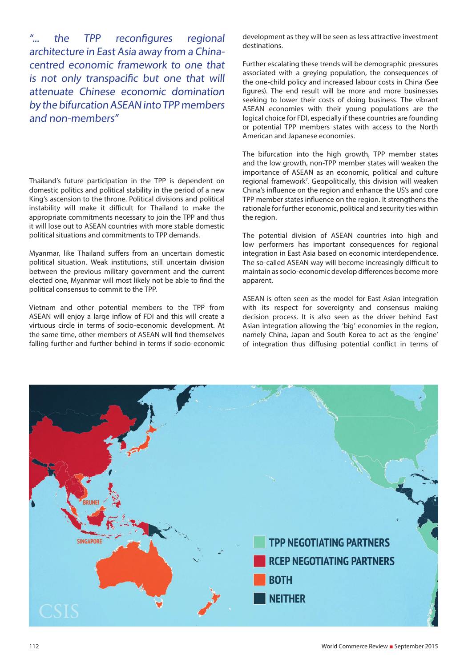"... the TPP reconfigures regional architecture in East Asia away from a Chinacentred economic framework to one that is not only transpacific but one that will attenuate Chinese economic domination by the bifurcation ASEAN into TPP members and non-members"

Thailand's future participation in the TPP is dependent on domestic politics and political stability in the period of a new King's ascension to the throne. Political divisions and political instability will make it difficult for Thailand to make the appropriate commitments necessary to join the TPP and thus it will lose out to ASEAN countries with more stable domestic political situations and commitments to TPP demands.

Myanmar, like Thailand suffers from an uncertain domestic political situation. Weak institutions, still uncertain division between the previous military government and the current elected one, Myanmar will most likely not be able to find the political consensus to commit to the TPP.

Vietnam and other potential members to the TPP from ASEAN will enjoy a large inflow of FDI and this will create a virtuous circle in terms of socio-economic development. At the same time, other members of ASEAN will find themselves falling further and further behind in terms if socio-economic development as they will be seen as less attractive investment destinations.

Further escalating these trends will be demographic pressures associated with a greying population, the consequences of the one-child policy and increased labour costs in China (See figures). The end result will be more and more businesses seeking to lower their costs of doing business. The vibrant ASEAN economies with their young populations are the logical choice for FDI, especially if these countries are founding or potential TPP members states with access to the North American and Japanese economies.

The bifurcation into the high growth, TPP member states and the low growth, non-TPP member states will weaken the importance of ASEAN as an economic, political and culture regional framework7 . Geopolitically, this division will weaken China's influence on the region and enhance the US's and core TPP member states influence on the region. It strengthens the rationale for further economic, political and security ties within the region.

The potential division of ASEAN countries into high and low performers has important consequences for regional integration in East Asia based on economic interdependence. The so-called ASEAN way will become increasingly difficult to maintain as socio-economic develop differences become more apparent.

ASEAN is often seen as the model for East Asian integration with its respect for sovereignty and consensus making decision process. It is also seen as the driver behind East Asian integration allowing the 'big' economies in the region, namely China, Japan and South Korea to act as the 'engine' of integration thus diffusing potential conflict in terms of